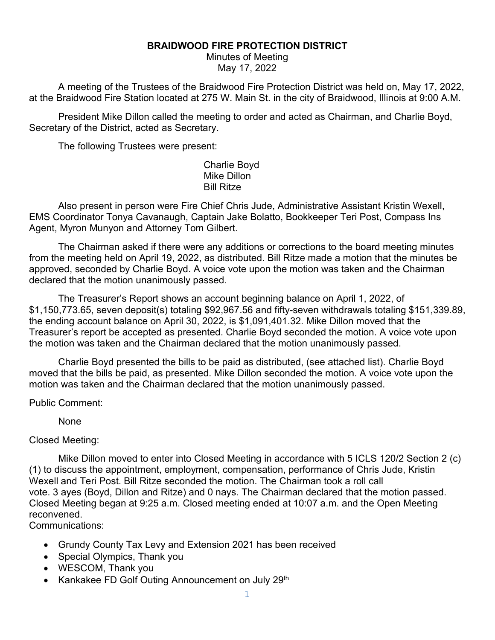## **BRAIDWOOD FIRE PROTECTION DISTRICT**

Minutes of Meeting May 17, 2022

A meeting of the Trustees of the Braidwood Fire Protection District was held on, May 17, 2022, at the Braidwood Fire Station located at 275 W. Main St. in the city of Braidwood, Illinois at 9:00 A.M.

President Mike Dillon called the meeting to order and acted as Chairman, and Charlie Boyd, Secretary of the District, acted as Secretary.

The following Trustees were present:

Charlie Boyd Mike Dillon Bill Ritze

Also present in person were Fire Chief Chris Jude, Administrative Assistant Kristin Wexell, EMS Coordinator Tonya Cavanaugh, Captain Jake Bolatto, Bookkeeper Teri Post, Compass Ins Agent, Myron Munyon and Attorney Tom Gilbert.

The Chairman asked if there were any additions or corrections to the board meeting minutes from the meeting held on April 19, 2022, as distributed. Bill Ritze made a motion that the minutes be approved, seconded by Charlie Boyd. A voice vote upon the motion was taken and the Chairman declared that the motion unanimously passed.

The Treasurer's Report shows an account beginning balance on April 1, 2022, of \$1,150,773.65, seven deposit(s) totaling \$92,967.56 and fifty-seven withdrawals totaling \$151,339.89, the ending account balance on April 30, 2022, is \$1,091,401.32. Mike Dillon moved that the Treasurer's report be accepted as presented. Charlie Boyd seconded the motion. A voice vote upon the motion was taken and the Chairman declared that the motion unanimously passed.

Charlie Boyd presented the bills to be paid as distributed, (see attached list). Charlie Boyd moved that the bills be paid, as presented. Mike Dillon seconded the motion. A voice vote upon the motion was taken and the Chairman declared that the motion unanimously passed.

Public Comment:

None

Closed Meeting:

Mike Dillon moved to enter into Closed Meeting in accordance with 5 ICLS 120/2 Section 2 (c) (1) to discuss the appointment, employment, compensation, performance of Chris Jude, Kristin Wexell and Teri Post. Bill Ritze seconded the motion. The Chairman took a roll call vote. 3 ayes (Boyd, Dillon and Ritze) and 0 nays. The Chairman declared that the motion passed. Closed Meeting began at 9:25 a.m. Closed meeting ended at 10:07 a.m. and the Open Meeting reconvened.

Communications:

- Grundy County Tax Levy and Extension 2021 has been received
- Special Olympics, Thank you
- WESCOM, Thank you
- Kankakee FD Golf Outing Announcement on July 29<sup>th</sup>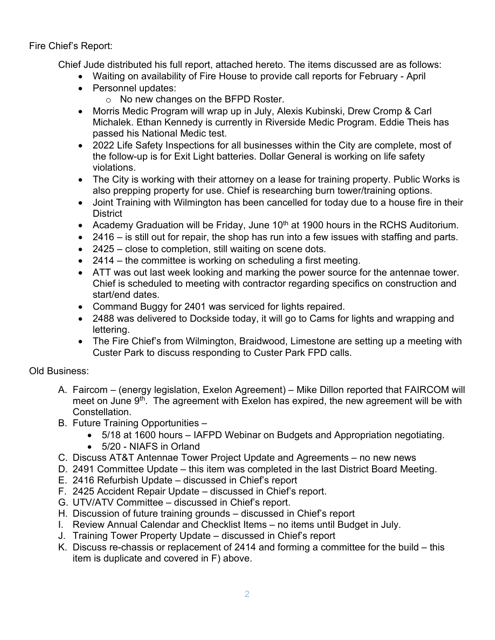Fire Chief's Report:

Chief Jude distributed his full report, attached hereto. The items discussed are as follows:

- Waiting on availability of Fire House to provide call reports for February April
- Personnel updates:
	- o No new changes on the BFPD Roster.
- Morris Medic Program will wrap up in July, Alexis Kubinski, Drew Cromp & Carl Michalek. Ethan Kennedy is currently in Riverside Medic Program. Eddie Theis has passed his National Medic test.
- 2022 Life Safety Inspections for all businesses within the City are complete, most of the follow-up is for Exit Light batteries. Dollar General is working on life safety violations.
- The City is working with their attorney on a lease for training property. Public Works is also prepping property for use. Chief is researching burn tower/training options.
- Joint Training with Wilmington has been cancelled for today due to a house fire in their **District**
- Academy Graduation will be Friday, June  $10<sup>th</sup>$  at 1900 hours in the RCHS Auditorium.
- 2416 is still out for repair, the shop has run into a few issues with staffing and parts.
- 2425 close to completion, still waiting on scene dots.
- 2414 the committee is working on scheduling a first meeting.
- ATT was out last week looking and marking the power source for the antennae tower. Chief is scheduled to meeting with contractor regarding specifics on construction and start/end dates.
- Command Buggy for 2401 was serviced for lights repaired.
- 2488 was delivered to Dockside today, it will go to Cams for lights and wrapping and lettering.
- The Fire Chief's from Wilmington, Braidwood, Limestone are setting up a meeting with Custer Park to discuss responding to Custer Park FPD calls.

## Old Business:

- A. Faircom (energy legislation, Exelon Agreement) Mike Dillon reported that FAIRCOM will meet on June 9<sup>th</sup>. The agreement with Exelon has expired, the new agreement will be with **Constellation**
- B. Future Training Opportunities
	- 5/18 at 1600 hours IAFPD Webinar on Budgets and Appropriation negotiating.
	- 5/20 NIAFS in Orland
- C. Discuss AT&T Antennae Tower Project Update and Agreements no new news
- D. 2491 Committee Update this item was completed in the last District Board Meeting.
- E. 2416 Refurbish Update discussed in Chief's report
- F. 2425 Accident Repair Update discussed in Chief's report.
- G. UTV/ATV Committee discussed in Chief's report.
- H. Discussion of future training grounds discussed in Chief's report
- I. Review Annual Calendar and Checklist Items no items until Budget in July.
- J. Training Tower Property Update discussed in Chief's report
- K. Discuss re-chassis or replacement of 2414 and forming a committee for the build this item is duplicate and covered in F) above.